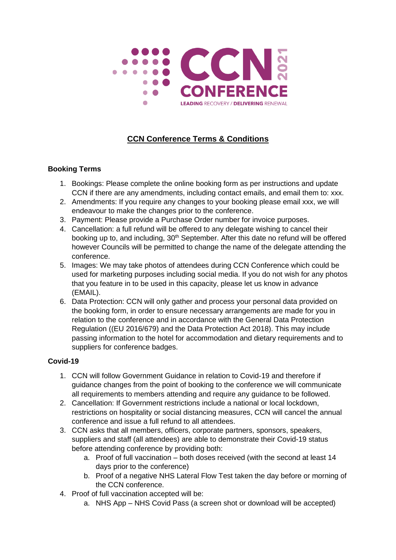

## **CCN Conference Terms & Conditions**

## **Booking Terms**

- 1. Bookings: Please complete the online booking form as per instructions and update CCN if there are any amendments, including contact emails, and email them to: xxx.
- 2. Amendments: If you require any changes to your booking please email xxx, we will endeavour to make the changes prior to the conference.
- 3. Payment: Please provide a Purchase Order number for invoice purposes.
- 4. Cancellation: a full refund will be offered to any delegate wishing to cancel their booking up to, and including, 30<sup>th</sup> September. After this date no refund will be offered however Councils will be permitted to change the name of the delegate attending the conference.
- 5. Images: We may take photos of attendees during CCN Conference which could be used for marketing purposes including social media. If you do not wish for any photos that you feature in to be used in this capacity, please let us know in advance (EMAIL).
- 6. Data Protection: CCN will only gather and process your personal data provided on the booking form, in order to ensure necessary arrangements are made for you in relation to the conference and in accordance with the General Data Protection Regulation ((EU 2016/679) and the Data Protection Act 2018). This may include passing information to the hotel for accommodation and dietary requirements and to suppliers for conference badges.

## **Covid-19**

- 1. CCN will follow Government Guidance in relation to Covid-19 and therefore if guidance changes from the point of booking to the conference we will communicate all requirements to members attending and require any guidance to be followed.
- 2. Cancellation: If Government restrictions include a national or local lockdown, restrictions on hospitality or social distancing measures, CCN will cancel the annual conference and issue a full refund to all attendees.
- 3. CCN asks that all members, officers, corporate partners, sponsors, speakers, suppliers and staff (all attendees) are able to demonstrate their Covid-19 status before attending conference by providing both:
	- a. Proof of full vaccination both doses received (with the second at least 14 days prior to the conference)
	- b. Proof of a negative NHS Lateral Flow Test taken the day before or morning of the CCN conference.
- 4. Proof of full vaccination accepted will be:
	- a. NHS App NHS Covid Pass (a screen shot or download will be accepted)